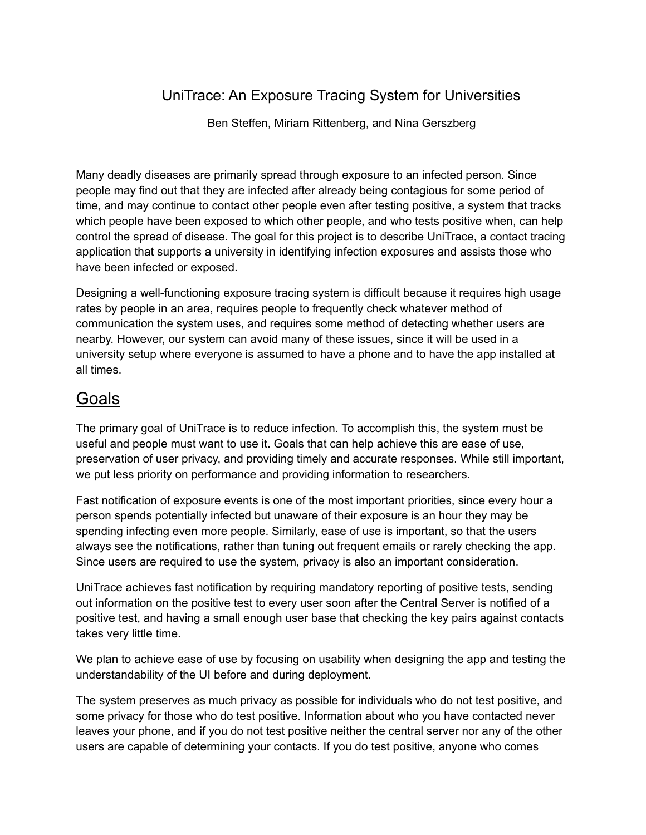## UniTrace: An Exposure Tracing System for Universities

Ben Steffen, Miriam Rittenberg, and Nina Gerszberg

Many deadly diseases are primarily spread through exposure to an infected person. Since people may find out that they are infected after already being contagious for some period of time, and may continue to contact other people even after testing positive, a system that tracks which people have been exposed to which other people, and who tests positive when, can help control the spread of disease. The goal for this project is to describe UniTrace, a contact tracing application that supports a university in identifying infection exposures and assists those who have been infected or exposed.

Designing a well-functioning exposure tracing system is difficult because it requires high usage rates by people in an area, requires people to frequently check whatever method of communication the system uses, and requires some method of detecting whether users are nearby. However, our system can avoid many of these issues, since it will be used in a university setup where everyone is assumed to have a phone and to have the app installed at all times.

## Goals

The primary goal of UniTrace is to reduce infection. To accomplish this, the system must be useful and people must want to use it. Goals that can help achieve this are ease of use, preservation of user privacy, and providing timely and accurate responses. While still important, we put less priority on performance and providing information to researchers.

Fast notification of exposure events is one of the most important priorities, since every hour a person spends potentially infected but unaware of their exposure is an hour they may be spending infecting even more people. Similarly, ease of use is important, so that the users always see the notifications, rather than tuning out frequent emails or rarely checking the app. Since users are required to use the system, privacy is also an important consideration.

UniTrace achieves fast notification by requiring mandatory reporting of positive tests, sending out information on the positive test to every user soon after the Central Server is notified of a positive test, and having a small enough user base that checking the key pairs against contacts takes very little time.

We plan to achieve ease of use by focusing on usability when designing the app and testing the understandability of the UI before and during deployment.

The system preserves as much privacy as possible for individuals who do not test positive, and some privacy for those who do test positive. Information about who you have contacted never leaves your phone, and if you do not test positive neither the central server nor any of the other users are capable of determining your contacts. If you do test positive, anyone who comes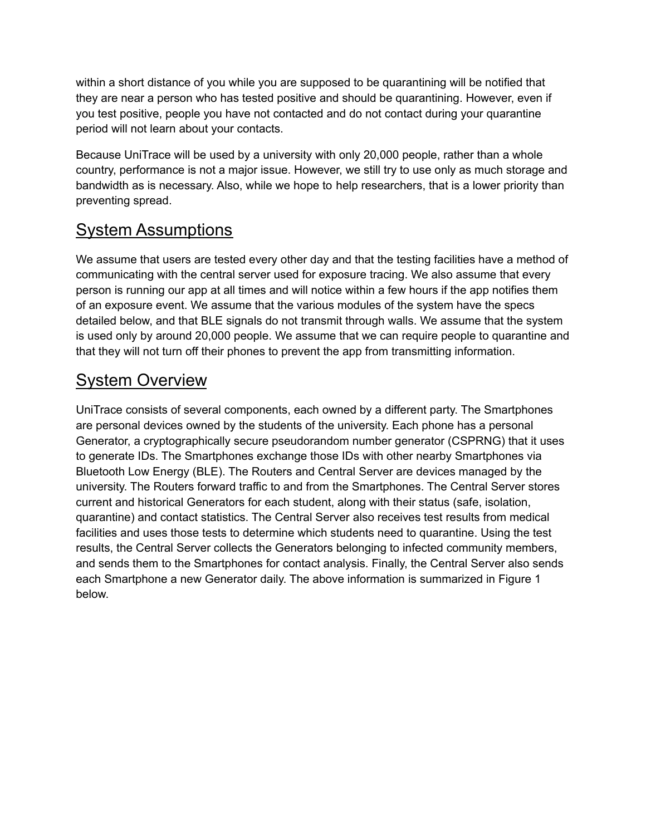within a short distance of you while you are supposed to be quarantining will be notified that they are near a person who has tested positive and should be quarantining. However, even if you test positive, people you have not contacted and do not contact during your quarantine period will not learn about your contacts.

Because UniTrace will be used by a university with only 20,000 people, rather than a whole country, performance is not a major issue. However, we still try to use only as much storage and bandwidth as is necessary. Also, while we hope to help researchers, that is a lower priority than preventing spread.

# System Assumptions

We assume that users are tested every other day and that the testing facilities have a method of communicating with the central server used for exposure tracing. We also assume that every person is running our app at all times and will notice within a few hours if the app notifies them of an exposure event. We assume that the various modules of the system have the specs detailed below, and that BLE signals do not transmit through walls. We assume that the system is used only by around 20,000 people. We assume that we can require people to quarantine and that they will not turn off their phones to prevent the app from transmitting information.

# System Overview

UniTrace consists of several components, each owned by a different party. The Smartphones are personal devices owned by the students of the university. Each phone has a personal Generator, a cryptographically secure pseudorandom number generator (CSPRNG) that it uses to generate IDs. The Smartphones exchange those IDs with other nearby Smartphones via Bluetooth Low Energy (BLE). The Routers and Central Server are devices managed by the university. The Routers forward traffic to and from the Smartphones. The Central Server stores current and historical Generators for each student, along with their status (safe, isolation, quarantine) and contact statistics. The Central Server also receives test results from medical facilities and uses those tests to determine which students need to quarantine. Using the test results, the Central Server collects the Generators belonging to infected community members, and sends them to the Smartphones for contact analysis. Finally, the Central Server also sends each Smartphone a new Generator daily. The above information is summarized in Figure 1 below.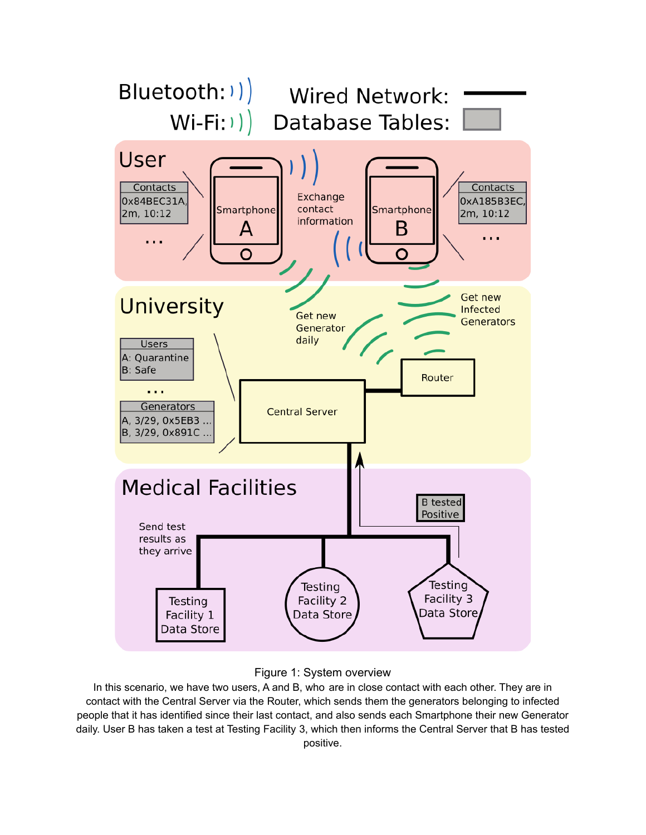



In this scenario, we have two users, A and B, who are in close contact with each other. They are in contact with the Central Server via the Router, which sends them the generators belonging to infected people that it has identified since their last contact, and also sends each Smartphone their new Generator daily. User B has taken a test at Testing Facility 3, which then informs the Central Server that B has tested positive.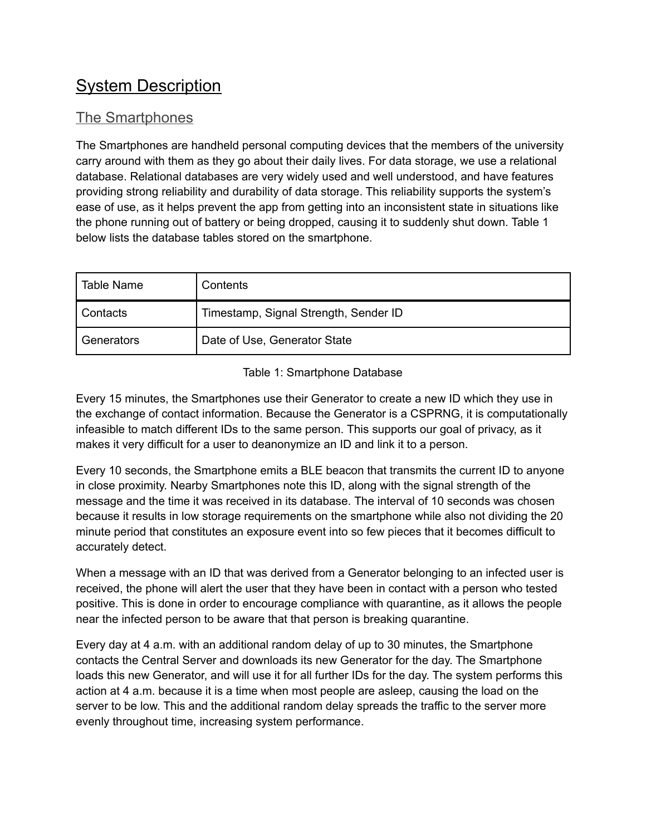# System Description

### The Smartphones

The Smartphones are handheld personal computing devices that the members of the university carry around with them as they go about their daily lives. For data storage, we use a relational database. Relational databases are very widely used and well understood, and have features providing strong reliability and durability of data storage. This reliability supports the system's ease of use, as it helps prevent the app from getting into an inconsistent state in situations like the phone running out of battery or being dropped, causing it to suddenly shut down. Table 1 below lists the database tables stored on the smartphone.

| <b>Table Name</b> | Contents                              |
|-------------------|---------------------------------------|
| l Contacts        | Timestamp, Signal Strength, Sender ID |
| Generators        | Date of Use, Generator State          |

#### Table 1: Smartphone Database

Every 15 minutes, the Smartphones use their Generator to create a new ID which they use in the exchange of contact information. Because the Generator is a CSPRNG, it is computationally infeasible to match different IDs to the same person. This supports our goal of privacy, as it makes it very difficult for a user to deanonymize an ID and link it to a person.

Every 10 seconds, the Smartphone emits a BLE beacon that transmits the current ID to anyone in close proximity. Nearby Smartphones note this ID, along with the signal strength of the message and the time it was received in its database. The interval of 10 seconds was chosen because it results in low storage requirements on the smartphone while also not dividing the 20 minute period that constitutes an exposure event into so few pieces that it becomes difficult to accurately detect.

When a message with an ID that was derived from a Generator belonging to an infected user is received, the phone will alert the user that they have been in contact with a person who tested positive. This is done in order to encourage compliance with quarantine, as it allows the people near the infected person to be aware that that person is breaking quarantine.

Every day at 4 a.m. with an additional random delay of up to 30 minutes, the Smartphone contacts the Central Server and downloads its new Generator for the day. The Smartphone loads this new Generator, and will use it for all further IDs for the day. The system performs this action at 4 a.m. because it is a time when most people are asleep, causing the load on the server to be low. This and the additional random delay spreads the traffic to the server more evenly throughout time, increasing system performance.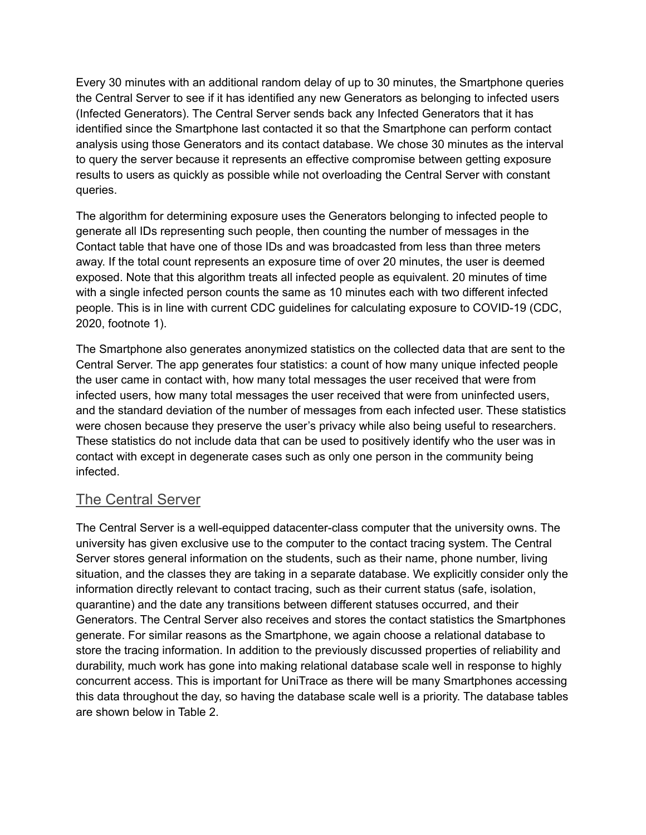Every 30 minutes with an additional random delay of up to 30 minutes, the Smartphone queries the Central Server to see if it has identified any new Generators as belonging to infected users (Infected Generators). The Central Server sends back any Infected Generators that it has identified since the Smartphone last contacted it so that the Smartphone can perform contact analysis using those Generators and its contact database. We chose 30 minutes as the interval to query the server because it represents an effective compromise between getting exposure results to users as quickly as possible while not overloading the Central Server with constant queries.

The algorithm for determining exposure uses the Generators belonging to infected people to generate all IDs representing such people, then counting the number of messages in the Contact table that have one of those IDs and was broadcasted from less than three meters away. If the total count represents an exposure time of over 20 minutes, the user is deemed exposed. Note that this algorithm treats all infected people as equivalent. 20 minutes of time with a single infected person counts the same as 10 minutes each with two different infected people. This is in line with current CDC guidelines for calculating exposure to COVID-19 (CDC, 2020, footnote 1).

The Smartphone also generates anonymized statistics on the collected data that are sent to the Central Server. The app generates four statistics: a count of how many unique infected people the user came in contact with, how many total messages the user received that were from infected users, how many total messages the user received that were from uninfected users, and the standard deviation of the number of messages from each infected user. These statistics were chosen because they preserve the user's privacy while also being useful to researchers. These statistics do not include data that can be used to positively identify who the user was in contact with except in degenerate cases such as only one person in the community being infected.

### The Central Server

The Central Server is a well-equipped datacenter-class computer that the university owns. The university has given exclusive use to the computer to the contact tracing system. The Central Server stores general information on the students, such as their name, phone number, living situation, and the classes they are taking in a separate database. We explicitly consider only the information directly relevant to contact tracing, such as their current status (safe, isolation, quarantine) and the date any transitions between different statuses occurred, and their Generators. The Central Server also receives and stores the contact statistics the Smartphones generate. For similar reasons as the Smartphone, we again choose a relational database to store the tracing information. In addition to the previously discussed properties of reliability and durability, much work has gone into making relational database scale well in response to highly concurrent access. This is important for UniTrace as there will be many Smartphones accessing this data throughout the day, so having the database scale well is a priority. The database tables are shown below in Table 2.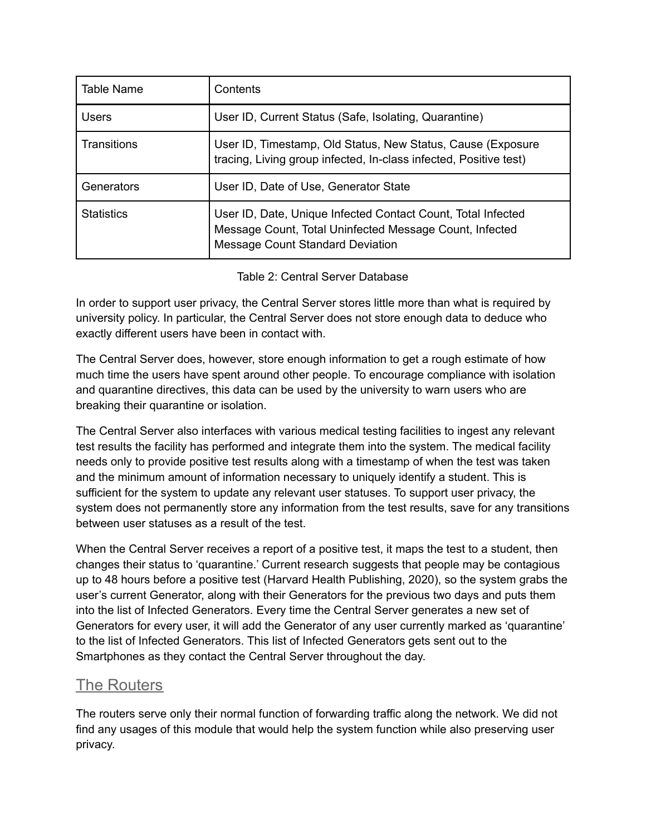| Table Name        | Contents                                                                                                                                                           |
|-------------------|--------------------------------------------------------------------------------------------------------------------------------------------------------------------|
| Users             | User ID, Current Status (Safe, Isolating, Quarantine)                                                                                                              |
| Transitions       | User ID, Timestamp, Old Status, New Status, Cause (Exposure<br>tracing, Living group infected, In-class infected, Positive test)                                   |
| Generators        | User ID, Date of Use, Generator State                                                                                                                              |
| <b>Statistics</b> | User ID, Date, Unique Infected Contact Count, Total Infected<br>Message Count, Total Uninfected Message Count, Infected<br><b>Message Count Standard Deviation</b> |

#### Table 2: Central Server Database

In order to support user privacy, the Central Server stores little more than what is required by university policy. In particular, the Central Server does not store enough data to deduce who exactly different users have been in contact with.

The Central Server does, however, store enough information to get a rough estimate of how much time the users have spent around other people. To encourage compliance with isolation and quarantine directives, this data can be used by the university to warn users who are breaking their quarantine or isolation.

The Central Server also interfaces with various medical testing facilities to ingest any relevant test results the facility has performed and integrate them into the system. The medical facility needs only to provide positive test results along with a timestamp of when the test was taken and the minimum amount of information necessary to uniquely identify a student. This is sufficient for the system to update any relevant user statuses. To support user privacy, the system does not permanently store any information from the test results, save for any transitions between user statuses as a result of the test.

When the Central Server receives a report of a positive test, it maps the test to a student, then changes their status to 'quarantine.' Current research suggests that people may be contagious up to 48 hours before a positive test (Harvard Health Publishing, 2020), so the system grabs the user's current Generator, along with their Generators for the previous two days and puts them into the list of Infected Generators. Every time the Central Server generates a new set of Generators for every user, it will add the Generator of any user currently marked as 'quarantine' to the list of Infected Generators. This list of Infected Generators gets sent out to the Smartphones as they contact the Central Server throughout the day.

### The Routers

The routers serve only their normal function of forwarding traffic along the network. We did not find any usages of this module that would help the system function while also preserving user privacy.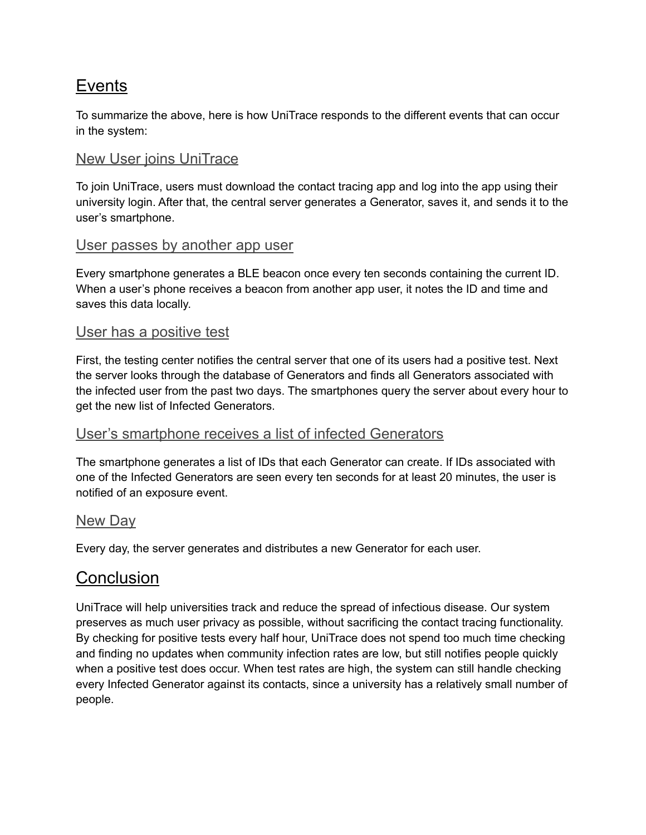## **Events**

To summarize the above, here is how UniTrace responds to the different events that can occur in the system:

### New User joins UniTrace

To join UniTrace, users must download the contact tracing app and log into the app using their university login. After that, the central server generates a Generator, saves it, and sends it to the user's smartphone.

#### User passes by another app user

Every smartphone generates a BLE beacon once every ten seconds containing the current ID. When a user's phone receives a beacon from another app user, it notes the ID and time and saves this data locally.

#### User has a positive test

First, the testing center notifies the central server that one of its users had a positive test. Next the server looks through the database of Generators and finds all Generators associated with the infected user from the past two days. The smartphones query the server about every hour to get the new list of Infected Generators.

#### User's smartphone receives a list of infected Generators

The smartphone generates a list of IDs that each Generator can create. If IDs associated with one of the Infected Generators are seen every ten seconds for at least 20 minutes, the user is notified of an exposure event.

#### New Day

Every day, the server generates and distributes a new Generator for each user.

## **Conclusion**

UniTrace will help universities track and reduce the spread of infectious disease. Our system preserves as much user privacy as possible, without sacrificing the contact tracing functionality. By checking for positive tests every half hour, UniTrace does not spend too much time checking and finding no updates when community infection rates are low, but still notifies people quickly when a positive test does occur. When test rates are high, the system can still handle checking every Infected Generator against its contacts, since a university has a relatively small number of people.